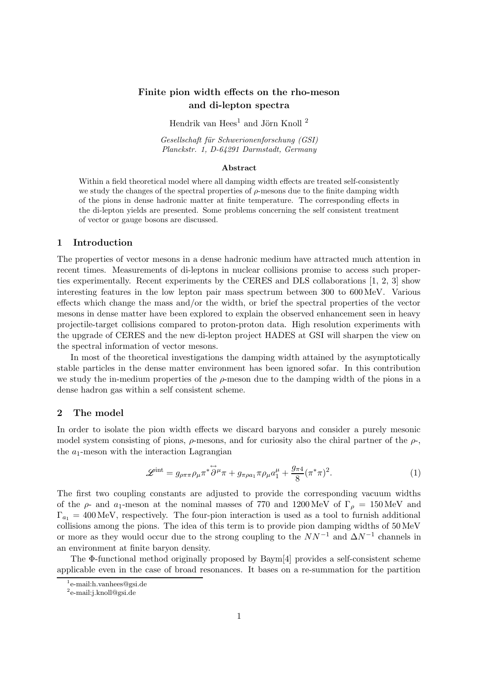# Finite pion width effects on the rho-meson and di-lepton spectra

Hendrik van Hees<sup>1</sup> and Jörn Knoll  $^2$ 

Gesellschaft für Schwerionenforschung (GSI) Planckstr. 1, D-64291 Darmstadt, Germany

#### Abstract

Within a field theoretical model where all damping width effects are treated self-consistently we study the changes of the spectral properties of  $\rho$ -mesons due to the finite damping width of the pions in dense hadronic matter at finite temperature. The corresponding effects in the di-lepton yields are presented. Some problems concerning the self consistent treatment of vector or gauge bosons are discussed.

### 1 Introduction

The properties of vector mesons in a dense hadronic medium have attracted much attention in recent times. Measurements of di-leptons in nuclear collisions promise to access such properties experimentally. Recent experiments by the CERES and DLS collaborations [1, 2, 3] show interesting features in the low lepton pair mass spectrum between 300 to 600 MeV. Various effects which change the mass and/or the width, or brief the spectral properties of the vector mesons in dense matter have been explored to explain the observed enhancement seen in heavy projectile-target collisions compared to proton-proton data. High resolution experiments with the upgrade of CERES and the new di-lepton project HADES at GSI will sharpen the view on the spectral information of vector mesons.

In most of the theoretical investigations the damping width attained by the asymptotically stable particles in the dense matter environment has been ignored sofar. In this contribution we study the in-medium properties of the  $\rho$ -meson due to the damping width of the pions in a dense hadron gas within a self consistent scheme.

### 2 The model

In order to isolate the pion width effects we discard baryons and consider a purely mesonic model system consisting of pions,  $\rho$ -mesons, and for curiosity also the chiral partner of the  $\rho$ -, the  $a_1$ -meson with the interaction Lagrangian

$$
\mathscr{L}^{\text{int}} = g_{\rho\pi\pi}\rho_{\mu}\pi^* \overset{\leftrightarrow}{\partial}^{\mu}\pi + g_{\pi\rho a_1}\pi\rho_{\mu}a_1^{\mu} + \frac{g_{\pi 4}}{8}(\pi^*\pi)^2. \tag{1}
$$

The first two coupling constants are adjusted to provide the corresponding vacuum widths of the  $\rho$ - and  $a_1$ -meson at the nominal masses of 770 and 1200 MeV of  $\Gamma_\rho = 150 \,\text{MeV}$  and  $\Gamma_{a_1} = 400 \,\text{MeV}$ , respectively. The four-pion interaction is used as a tool to furnish additional collisions among the pions. The idea of this term is to provide pion damping widths of 50 MeV or more as they would occur due to the strong coupling to the  $NN^{-1}$  and  $\Delta N^{-1}$  channels in an environment at finite baryon density.

The Φ-functional method originally proposed by Baym[4] provides a self-consistent scheme applicable even in the case of broad resonances. It bases on a re-summation for the partition

<sup>1</sup> e-mail:h.vanhees@gsi.de

<sup>2</sup> e-mail:j.knoll@gsi.de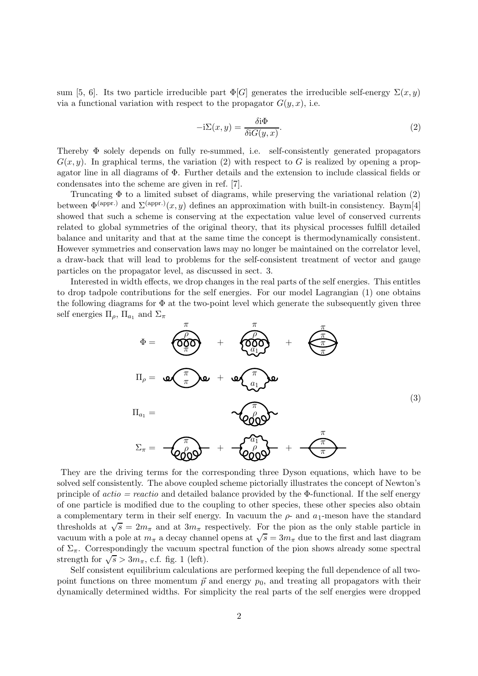sum [5, 6]. Its two particle irreducible part  $\Phi[G]$  generates the irreducible self-energy  $\Sigma(x, y)$ via a functional variation with respect to the propagator  $G(y, x)$ , i.e.

$$
-i\Sigma(x,y) = \frac{\delta i\Phi}{\delta iG(y,x)}.
$$
\n(2)

Thereby Φ solely depends on fully re-summed, i.e. self-consistently generated propagators  $G(x, y)$ . In graphical terms, the variation (2) with respect to G is realized by opening a propagator line in all diagrams of Φ. Further details and the extension to include classical fields or condensates into the scheme are given in ref. [7].

Truncating Φ to a limited subset of diagrams, while preserving the variational relation (2) between  $\Phi^{\text{(appr.)}}$  and  $\Sigma^{\text{(appr.)}}(x, y)$  defines an approximation with built-in consistency. Baym[4] showed that such a scheme is conserving at the expectation value level of conserved currents related to global symmetries of the original theory, that its physical processes fulfill detailed balance and unitarity and that at the same time the concept is thermodynamically consistent. However symmetries and conservation laws may no longer be maintained on the correlator level, a draw-back that will lead to problems for the self-consistent treatment of vector and gauge particles on the propagator level, as discussed in sect. 3.

Interested in width effects, we drop changes in the real parts of the self energies. This entitles to drop tadpole contributions for the self energies. For our model Lagrangian (1) one obtains the following diagrams for  $\Phi$  at the two-point level which generate the subsequently given three self energies  $\Pi_{\rho}$ ,  $\Pi_{a_1}$  and  $\Sigma_{\pi}$ 

$$
\Phi = \underbrace{\left(\begin{matrix} \frac{\pi}{2} \\ \frac{\pi}{2} \\ \frac{\pi}{2} \end{matrix}\right)}_{\Pi_{\rho} = \Phi \left(\begin{matrix} \frac{\pi}{2} \\ \frac{\pi}{2} \end{matrix}\right) \Phi} + \underbrace{\left(\begin{matrix} \frac{\pi}{2} \\ \frac{\pi}{2} \end{matrix}\right)}_{\Pi_{a_1} = \Phi \left(\begin{matrix} \frac{\pi}{2} \\ \frac{\pi}{2} \end{matrix}\right) \Phi} + \underbrace{\left(\begin{matrix} \frac{\pi}{2} \\ \frac{\pi}{2} \end{matrix}\right)}_{\Pi_{a_1} = \Phi \left(\begin{matrix} \frac{\pi}{2} \\ \frac{\pi}{2} \end{matrix}\right) \Phi} + \underbrace{\left(\begin{matrix} \frac{\pi}{2} \\ \frac{\pi}{2} \end{matrix}\right)}_{\Pi_{a_1} = \Phi \left(\begin{matrix} \frac{\pi}{2} \\ \frac{\pi}{2} \end{matrix}\right) \Phi} + \underbrace{\left(\begin{matrix} \frac{\pi}{2} \\ \frac{\pi}{2} \end{matrix}\right)}_{\Pi_{a_1} = \Phi \left(\begin{matrix} \frac{\pi}{2} \\ \frac{\pi}{2} \end{matrix}\right) \Phi} + \underbrace{\left(\begin{matrix} \frac{\pi}{2} \\ \frac{\pi}{2} \end{matrix}\right)}_{\Pi_{a_1} = \Phi \left(\begin{matrix} \frac{\pi}{2} \\ \frac{\pi}{2} \end{matrix}\right) \Phi} + \underbrace{\left(\begin{matrix} \frac{\pi}{2} \\ \frac{\pi}{2} \end{matrix}\right)}_{\Pi_{a_1} = \Phi \left(\begin{matrix} \frac{\pi}{2} \\ \frac{\pi}{2} \end{matrix}\right) \Phi} + \underbrace{\left(\begin{matrix} \frac{\pi}{2} \\ \frac{\pi}{2} \end{matrix}\right)}_{\Pi_{a_1} = \Phi \left(\begin{matrix} \frac{\pi}{2} \\ \frac{\pi}{2} \end{matrix}\right) \Phi} + \underbrace{\left(\begin{matrix} \frac{\pi}{2} \\ \frac{\pi}{2} \end{matrix}\right)}_{\Pi_{a_1} = \Phi \left(\begin{matrix} \frac{\pi}{2} \\ \frac{\pi}{2} \end{matrix}\right) \Phi} + \underbrace{\left(\begin{matrix} \frac{\pi}{2} \\ \frac{\pi}{2} \end{matrix}\right)}_{\Pi_{a_1} = \Phi \left(\begin{matrix} \frac{\pi}{2} \\ \frac{\pi}{2} \
$$

They are the driving terms for the corresponding three Dyson equations, which have to be solved self consistently. The above coupled scheme pictorially illustrates the concept of Newton's principle of  $actio = reactio$  and detailed balance provided by the  $\Phi$ -functional. If the self energy of one particle is modified due to the coupling to other species, these other species also obtain a complementary term in their self energy. In vacuum the  $\rho$ - and  $a_1$ -meson have the standard thresholds at  $\sqrt{s} = 2m_{\pi}$  and at  $3m_{\pi}$  respectively. For the pion as the only stable particle in vacuum with a pole at  $m_{\pi}$  a decay channel opens at  $\sqrt{s} = 3m_{\pi}$  due to the first and last diagram of  $\Sigma_{\pi}$ . Correspondingly the vacuum spectral function of the pion shows already some spectral strength for  $\sqrt{s} > 3m_{\pi}$ , c.f. fig. 1 (left).

Self consistent equilibrium calculations are performed keeping the full dependence of all twopoint functions on three momentum  $\vec{p}$  and energy  $p_0$ , and treating all propagators with their dynamically determined widths. For simplicity the real parts of the self energies were dropped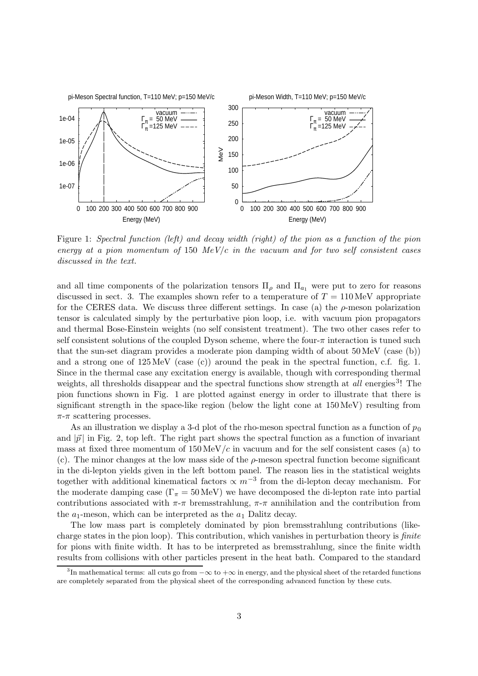pi-Meson Spectral function, T=110 MeV; p=150 MeV/c

pi-Meson Width, T=110 MeV; p=150 MeV/c



Figure 1: Spectral function (left) and decay width (right) of the pion as a function of the pion energy at a pion momentum of 150 MeV/c in the vacuum and for two self consistent cases discussed in the text.

and all time components of the polarization tensors  $\Pi_{\rho}$  and  $\Pi_{a_1}$  were put to zero for reasons discussed in sect. 3. The examples shown refer to a temperature of  $T = 110 \,\text{MeV}$  appropriate for the CERES data. We discuss three different settings. In case (a) the  $\rho$ -meson polarization tensor is calculated simply by the perturbative pion loop, i.e. with vacuum pion propagators and thermal Bose-Einstein weights (no self consistent treatment). The two other cases refer to self consistent solutions of the coupled Dyson scheme, where the four- $\pi$  interaction is tuned such that the sun-set diagram provides a moderate pion damping width of about 50 MeV (case (b)) and a strong one of  $125 \text{ MeV}$  (case (c)) around the peak in the spectral function, c.f. fig. 1. Since in the thermal case any excitation energy is available, though with corresponding thermal weights, all thresholds disappear and the spectral functions show strength at all energies<sup>3</sup>! The pion functions shown in Fig. 1 are plotted against energy in order to illustrate that there is significant strength in the space-like region (below the light cone at 150 MeV) resulting from  $\pi$ - $\pi$  scattering processes.

As an illustration we display a 3-d plot of the rho-meson spectral function as a function of  $p_0$ and  $|\vec{p}|$  in Fig. 2, top left. The right part shows the spectral function as a function of invariant mass at fixed three momentum of  $150 \,\text{MeV}/c$  in vacuum and for the self consistent cases (a) to (c). The minor changes at the low mass side of the  $\rho$ -meson spectral function become significant in the di-lepton yields given in the left bottom panel. The reason lies in the statistical weights together with additional kinematical factors  $\propto m^{-3}$  from the di-lepton decay mechanism. For the moderate damping case  $(\Gamma_{\pi} = 50 \,\text{MeV})$  we have decomposed the di-lepton rate into partial contributions associated with  $\pi$ -π bremsstrahlung,  $\pi$ -π annihilation and the contribution from the  $a_1$ -meson, which can be interpreted as the  $a_1$  Dalitz decay.

The low mass part is completely dominated by pion bremsstrahlung contributions (likecharge states in the pion loop). This contribution, which vanishes in perturbation theory is finite for pions with finite width. It has to be interpreted as bremsstrahlung, since the finite width results from collisions with other particles present in the heat bath. Compared to the standard

<sup>&</sup>lt;sup>3</sup>In mathematical terms: all cuts go from  $-\infty$  to  $+\infty$  in energy, and the physical sheet of the retarded functions are completely separated from the physical sheet of the corresponding advanced function by these cuts.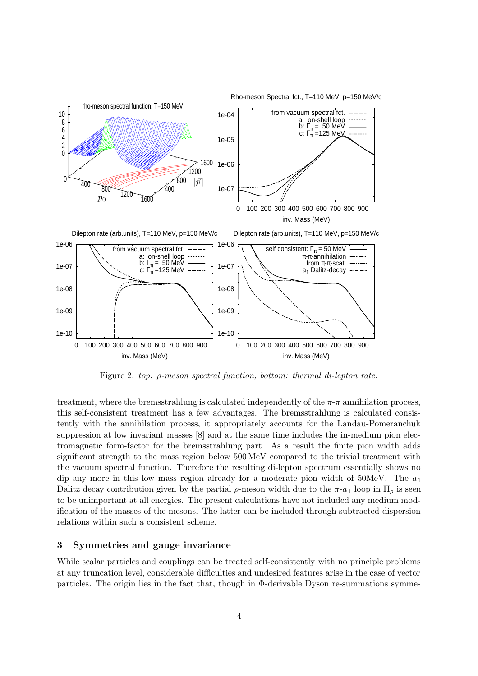Rho-meson Spectral fct., T=110 MeV, p=150 MeV/c



Figure 2: top: ρ-meson spectral function, bottom: thermal di-lepton rate.

treatment, where the bremsstrahlung is calculated independently of the  $\pi$ - $\pi$  annihilation process, this self-consistent treatment has a few advantages. The bremsstrahlung is calculated consistently with the annihilation process, it appropriately accounts for the Landau-Pomeranchuk suppression at low invariant masses [8] and at the same time includes the in-medium pion electromagnetic form-factor for the bremsstrahlung part. As a result the finite pion width adds significant strength to the mass region below 500 MeV compared to the trivial treatment with the vacuum spectral function. Therefore the resulting di-lepton spectrum essentially shows no dip any more in this low mass region already for a moderate pion width of  $50$ MeV. The  $a_1$ Dalitz decay contribution given by the partial  $\rho$ -meson width due to the  $\pi$ -a<sub>1</sub> loop in  $\Pi_{\rho}$  is seen to be unimportant at all energies. The present calculations have not included any medium modification of the masses of the mesons. The latter can be included through subtracted dispersion relations within such a consistent scheme.

## 3 Symmetries and gauge invariance

While scalar particles and couplings can be treated self-consistently with no principle problems at any truncation level, considerable difficulties and undesired features arise in the case of vector particles. The origin lies in the fact that, though in Φ-derivable Dyson re-summations symme-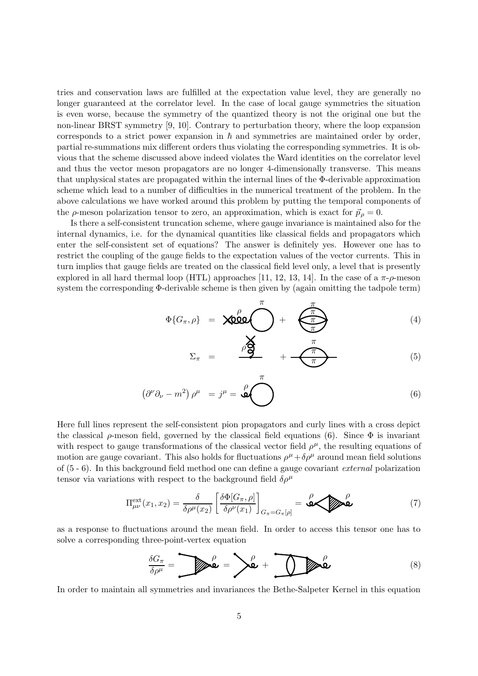tries and conservation laws are fulfilled at the expectation value level, they are generally no longer guaranteed at the correlator level. In the case of local gauge symmetries the situation is even worse, because the symmetry of the quantized theory is not the original one but the non-linear BRST symmetry [9, 10]. Contrary to perturbation theory, where the loop expansion corresponds to a strict power expansion in  $\hbar$  and symmetries are maintained order by order, partial re-summations mix different orders thus violating the corresponding symmetries. It is obvious that the scheme discussed above indeed violates the Ward identities on the correlator level and thus the vector meson propagators are no longer 4-dimensionally transverse. This means that unphysical states are propagated within the internal lines of the Φ-derivable approximation scheme which lead to a number of difficulties in the numerical treatment of the problem. In the above calculations we have worked around this problem by putting the temporal components of the  $\rho$ -meson polarization tensor to zero, an approximation, which is exact for  $\vec{p}_\rho = 0$ .

Is there a self-consistent truncation scheme, where gauge invariance is maintained also for the internal dynamics, i.e. for the dynamical quantities like classical fields and propagators which enter the self-consistent set of equations? The answer is definitely yes. However one has to restrict the coupling of the gauge fields to the expectation values of the vector currents. This in turn implies that gauge fields are treated on the classical field level only, a level that is presently explored in all hard thermal loop (HTL) approaches [11, 12, 13, 14]. In the case of a  $\pi$ - $\rho$ -meson system the corresponding Φ-derivable scheme is then given by (again omitting the tadpole term)

$$
\Phi\{G_{\pi}, \rho\} = \text{X000} \begin{matrix} \pi \\ \pi \end{matrix} + \begin{matrix} \frac{\pi}{\pi} \\ \frac{\pi}{\pi} \end{matrix}
$$
 (4)

$$
\Sigma_{\pi} = \frac{\rho \sum_{i=1}^{n} \pi}{\pi}
$$
 (5)

$$
\left(\partial^{\nu}\partial_{\nu} - m^2\right)\rho^{\mu} = j^{\mu} = \overset{\rho}{\bigcirc} \bigotimes \tag{6}
$$

 $\pi$ 

Here full lines represent the self-consistent pion propagators and curly lines with a cross depict the classical  $\rho$ -meson field, governed by the classical field equations (6). Since  $\Phi$  is invariant with respect to gauge transformations of the classical vector field  $\rho^{\mu}$ , the resulting equations of motion are gauge covariant. This also holds for fluctuations  $\rho^{\mu} + \delta \rho^{\mu}$  around mean field solutions of (5 - 6). In this background field method one can define a gauge covariant external polarization tensor via variations with respect to the background field  $\delta \rho^{\mu}$ 

$$
\Pi_{\mu\nu}^{\text{ext}}(x_1, x_2) = \frac{\delta}{\delta \rho^{\mu}(x_2)} \left[ \frac{\delta \Phi[G_{\pi}, \rho]}{\delta \rho^{\nu}(x_1)} \right]_{G_{\pi} = G_{\pi}[\rho]} = \text{Q}_{\text{Q}} \text{Q}_{\text{Q}} \tag{7}
$$

as a response to fluctuations around the mean field. In order to access this tensor one has to solve a corresponding three-point-vertex equation

$$
\frac{\delta G_{\pi}}{\delta \rho^{\mu}} = \sum \hat{\mathbf{L}} \mathbf{L} = \sum \hat{\mathbf{L}} + \sum \hat{\mathbf{L}} \mathbf{L} \mathbf{L}
$$
 (8)

In order to maintain all symmetries and invariances the Bethe-Salpeter Kernel in this equation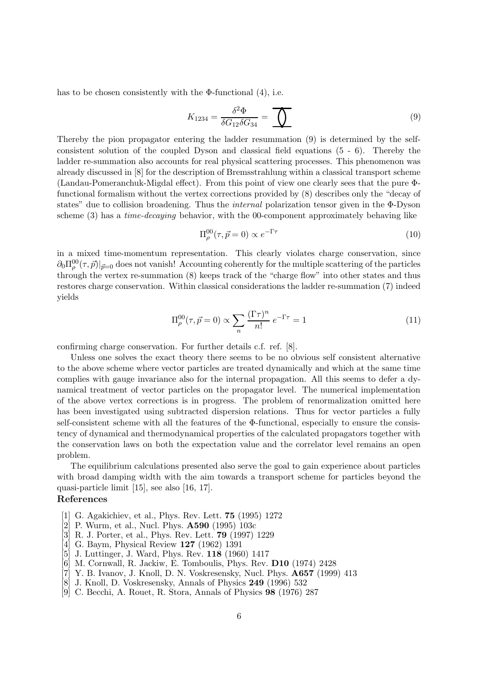has to be chosen consistently with the  $\Phi$ -functional  $(4)$ , i.e.

$$
K_{1234} = \frac{\delta^2 \Phi}{\delta G_{12} \delta G_{34}} = \underbrace{\bigcirc \qquad \qquad}_{}
$$
\n<sup>(9)</sup>

Thereby the pion propagator entering the ladder resummation (9) is determined by the selfconsistent solution of the coupled Dyson and classical field equations (5 - 6). Thereby the ladder re-summation also accounts for real physical scattering processes. This phenomenon was already discussed in [8] for the description of Bremsstrahlung within a classical transport scheme (Landau-Pomeranchuk-Migdal effect). From this point of view one clearly sees that the pure Φfunctional formalism without the vertex corrections provided by (8) describes only the "decay of states" due to collision broadening. Thus the internal polarization tensor given in the Φ-Dyson scheme (3) has a time-decaying behavior, with the 00-component approximately behaving like

$$
\Pi_{\rho}^{00}(\tau,\vec{p}=0) \propto e^{-\Gamma \tau} \tag{10}
$$

in a mixed time-momentum representation. This clearly violates charge conservation, since  $\partial_0\Pi^{00}_\rho(\tau,\vec{p})|_{\vec{p}=0}$  does not vanish! Accounting coherently for the multiple scattering of the particles through the vertex re-summation (8) keeps track of the "charge flow" into other states and thus restores charge conservation. Within classical considerations the ladder re-summation (7) indeed yields

$$
\Pi_{\rho}^{00}(\tau,\vec{p}=0) \propto \sum_{n} \frac{(\Gamma \tau)^n}{n!} e^{-\Gamma \tau} = 1 \tag{11}
$$

confirming charge conservation. For further details c.f. ref. [8].

Unless one solves the exact theory there seems to be no obvious self consistent alternative to the above scheme where vector particles are treated dynamically and which at the same time complies with gauge invariance also for the internal propagation. All this seems to defer a dynamical treatment of vector particles on the propagator level. The numerical implementation of the above vertex corrections is in progress. The problem of renormalization omitted here has been investigated using subtracted dispersion relations. Thus for vector particles a fully self-consistent scheme with all the features of the  $\Phi$ -functional, especially to ensure the consistency of dynamical and thermodynamical properties of the calculated propagators together with the conservation laws on both the expectation value and the correlator level remains an open problem.

The equilibrium calculations presented also serve the goal to gain experience about particles with broad damping width with the aim towards a transport scheme for particles beyond the quasi-particle limit [15], see also [16, 17].

## References

- [1] G. Agakichiev, et al., Phys. Rev. Lett. 75 (1995) 1272
- [2] P. Wurm, et al., Nucl. Phys. A590 (1995) 103c
- [3] R. J. Porter, et al., Phys. Rev. Lett. 79 (1997) 1229
- [4] G. Baym, Physical Review 127 (1962) 1391
- [5] J. Luttinger, J. Ward, Phys. Rev. 118 (1960) 1417
- [6] M. Cornwall, R. Jackiw, E. Tomboulis, Phys. Rev. D10 (1974) 2428
- [7] Y. B. Ivanov, J. Knoll, D. N. Voskresensky, Nucl. Phys. A657 (1999) 413
- [8] J. Knoll, D. Voskresensky, Annals of Physics 249 (1996) 532
- [9] C. Becchi, A. Rouet, R. Stora, Annals of Physics 98 (1976) 287